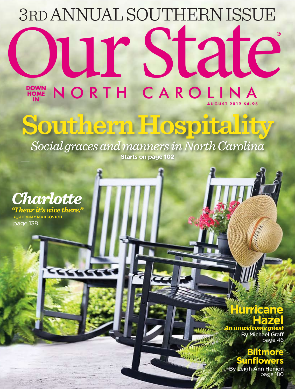## **DOWN HOME** O DOWN N **IN** UNDALSOUTHERNISSUE NORTH CAROLINA ® 3RD ANNUAL SOUTHERN ISSUE **AUGUST 2012 \$4.95**

## **Southern Hospitality**

**Starts on page 102** *Social graces and manners in North Carolina*



 *By* **JEREMY MARKOVICH** page 138

### **Hurricane Hazel**

*An unwelcome guest* By Michael Graff page 46

> **Biltmore unflo**

ourstate.com 1 By Leigh Ann Henion page 180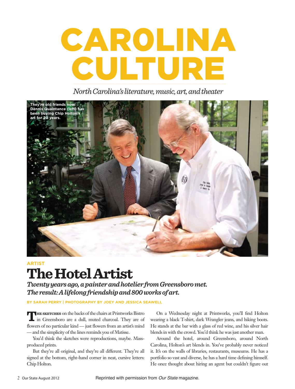# CAR0LINA CULTURE

*North Carolina's literature, music, art, and theater*



## **ARTIST The Hotel Artist**

*Twenty years ago, a painter and hotelier from Greensboro met. The result: A lifelong friendship and 800 works of art.*

**By Sarah Perry | photography by JOEY AND JESSICA SEAWELL**

**THE SKETCHES** on the backs of the chairs at Printworks Bistro in Greensboro are a dull, muted charcoal. They are of flowers of no particular kind — just flowers from an artist's mind — and the simplicity of the lines reminds you of Matisse.

You'd think the sketches were reproductions, maybe. Massproduced prints.

But they're all original, and they're all different. They're all signed at the bottom, right-hand corner in neat, cursive letters: Chip Holton.

On a Wednesday night at Printworks, you'll find Holton wearing a black T-shirt, dark Wrangler jeans, and hiking boots. He stands at the bar with a glass of red wine, and his silver hair blends in with the crowd. You'd think he was just another man.

Around the hotel, around Greensboro, around North Carolina, Holton's art blends in. You've probably never noticed it. It's on the walls of libraries, restaurants, museums. He has a portfolio so vast and diverse, he has a hard time defining himself. He once thought about hiring an agent but couldn't figure out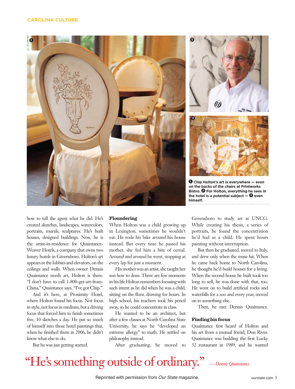

how to tell the agent what he did. He's created sketches, landscapes, watercolors, portraits, murals, sculptures. He's built houses, designed buildings. Now, he is the artist-in-residence for Quaintance-Weaver Hotels, a company that owns two luxury hotels in Greensboro. Holton's art appears in the lobbies and elevators, on the ceilings and walls. When owner Dennis Quaintance needs art, Holton is there. "I don't have to call 1-800-get-art-from-China," Quaintance says. "I've got Chip."

And it's here, at Proximity Hotel, where Holton found his focus. Not focus in style, not focus in medium, but a driving focus that forced him to finish sometimes five, 10 sketches a day. He put so much of himself into those hotel paintings that, when he finished them in 2006, he didn't know what else to do.

But he was just getting started.

#### **Floundering**

When Holton was a child growing up in Lexington, sometimes he wouldn't eat. He rode his bike around his house instead. But every time he passed his mother, she fed him a bite of cereal. Around and around he went, stopping at every lap for just a moment.

His mother was an artist; she taught her son how to draw. There are few moments in his life Holton remembers focusing with such intent as he did when he was a child, sitting on the floor, drawing for hours. In high school, his teachers took his pencil away, so he could concentrate in class.

He wanted to be an architect, but after a few classes at North Carolina State University, he says he "developed an extreme allergy" to math. He settled on philosophy instead.

After graduating, he moved to

Greensboro to study art at UNCG. While creating his thesis, a series of portraits, he found the concentration he'd had as a child. He spent hours painting without interruption.

But then he graduated, moved to Italy, and drew only when the muse hit. When he came back home to North Carolina, he thought he'd build houses for a living. When the second house he built took too long to sell, he was done with that, too. He went on to build artificial rocks and waterfalls for a zoo and every year, moved on to something else.

Then, he met Dennis Quaintance.

#### **Finding his focus**

Quaintance first heard of Holton and his art from a mutual friend, Don Rives. Quaintance was building the first Lucky 32 restaurant in 1989, and he wanted

## "He's something outside of ordinary." *— Dennis Quaintance*